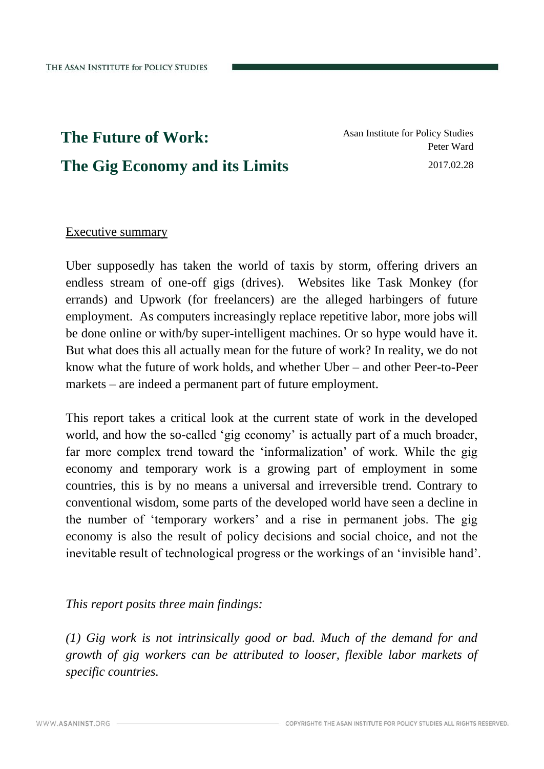# **The Future of Work: The Gig Economy and its Limits**

Asan Institute for Policy Studies Peter Ward 2017.02.28

# Executive summary

Uber supposedly has taken the world of taxis by storm, offering drivers an endless stream of one-off gigs (drives). Websites like Task Monkey (for errands) and Upwork (for freelancers) are the alleged harbingers of future employment. As computers increasingly replace repetitive labor, more jobs will be done online or with/by super-intelligent machines. Or so hype would have it. But what does this all actually mean for the future of work? In reality, we do not know what the future of work holds, and whether Uber – and other Peer-to-Peer markets – are indeed a permanent part of future employment.

This report takes a critical look at the current state of work in the developed world, and how the so-called 'gig economy' is actually part of a much broader, far more complex trend toward the 'informalization' of work. While the gig economy and temporary work is a growing part of employment in some countries, this is by no means a universal and irreversible trend. Contrary to conventional wisdom, some parts of the developed world have seen a decline in the number of 'temporary workers' and a rise in permanent jobs. The gig economy is also the result of policy decisions and social choice, and not the inevitable result of technological progress or the workings of an 'invisible hand'.

### *This report posits three main findings:*

*(1) Gig work is not intrinsically good or bad. Much of the demand for and growth of gig workers can be attributed to looser, flexible labor markets of specific countries.*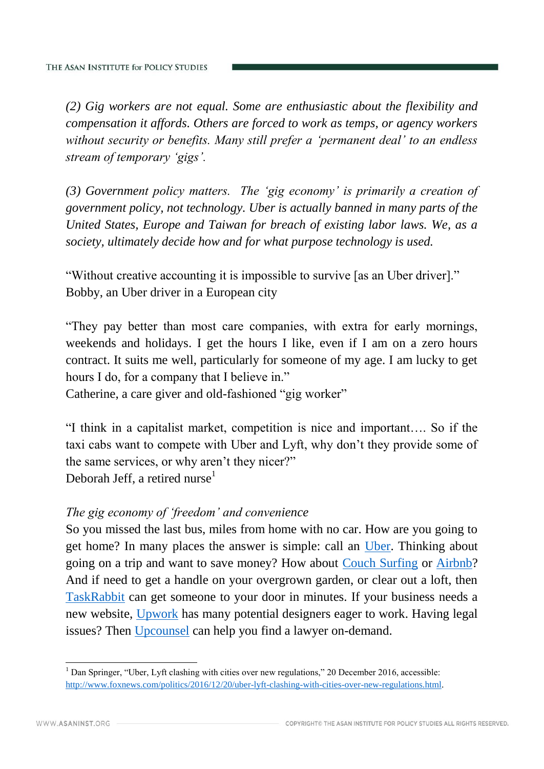*(2) Gig workers are not equal. Some are enthusiastic about the flexibility and compensation it affords. Others are forced to work as temps, or agency workers without security or benefits. Many still prefer a 'permanent deal' to an endless stream of temporary 'gigs'.*

*(3) Government policy matters. The 'gig economy' is primarily a creation of government policy, not technology. Uber is actually banned in many parts of the United States, Europe and Taiwan for breach of existing labor laws. We, as a society, ultimately decide how and for what purpose technology is used.* 

"Without creative accounting it is impossible to survive [as an Uber driver]." Bobby, an Uber driver in a European city

"They pay better than most care companies, with extra for early mornings, weekends and holidays. I get the hours I like, even if I am on a zero hours contract. It suits me well, particularly for someone of my age. I am lucky to get hours I do, for a company that I believe in."

Catherine, a care giver and old-fashioned "gig worker"

"I think in a capitalist market, competition is nice and important…. So if the taxi cabs want to compete with Uber and Lyft, why don't they provide some of the same services, or why aren't they nicer?" Deborah Jeff, a retired nurse<sup>1</sup>

### *The gig economy of 'freedom' and convenience*

So you missed the last bus, miles from home with no car. How are you going to get home? In many places the answer is simple: call an [Uber.](https://www.uber.com/) Thinking about going on a trip and want to save money? How about [Couch Surfing](https://www.couchsurfing.com/) or [Airbnb?](https://www.airbnb.com/) And if need to get a handle on your overgrown garden, or clear out a loft, then [TaskRabbit](http://www.taskrabbit.com/) can get someone to your door in minutes. If your business needs a new website, [Upwork](https://www.upwork.com/) has many potential designers eager to work. Having legal issues? Then [Upcounsel](https://www.upcounsel.com/) can help you find a lawyer on-demand.

<sup>&</sup>lt;sup>1</sup> Dan Springer, "Uber, Lyft clashing with cities over new regulations," 20 December 2016, accessible: [http://www.foxnews.com/politics/2016/12/20/uber-lyft-clashing-with-cities-over-new-regulations.html.](http://www.foxnews.com/politics/2016/12/20/uber-lyft-clashing-with-cities-over-new-regulations.html)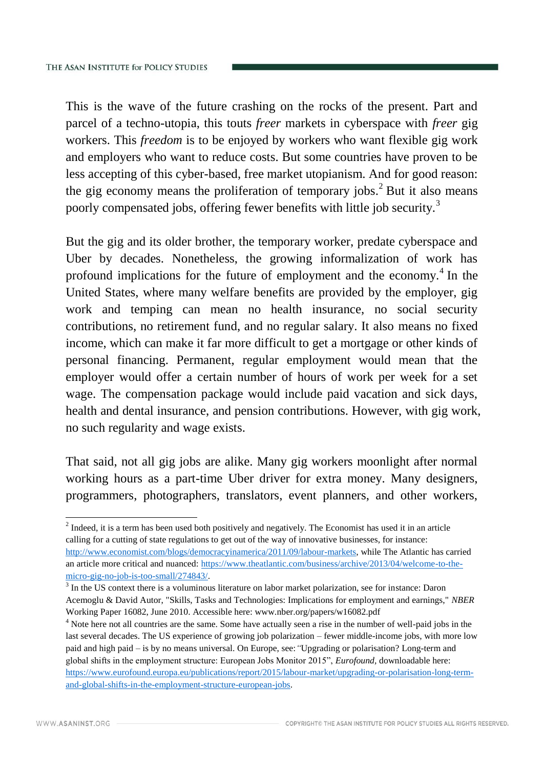This is the wave of the future crashing on the rocks of the present. Part and parcel of a techno-utopia, this touts *freer* markets in cyberspace with *freer* gig workers. This *freedom* is to be enjoyed by workers who want flexible gig work and employers who want to reduce costs. But some countries have proven to be less accepting of this cyber-based, free market utopianism. And for good reason: the gig economy means the proliferation of temporary jobs.<sup>2</sup> But it also means poorly compensated jobs, offering fewer benefits with little job security.<sup>3</sup>

But the gig and its older brother, the temporary worker, predate cyberspace and Uber by decades. Nonetheless, the growing informalization of work has profound implications for the future of employment and the economy.<sup>4</sup> In the United States, where many welfare benefits are provided by the employer, gig work and temping can mean no health insurance, no social security contributions, no retirement fund, and no regular salary. It also means no fixed income, which can make it far more difficult to get a mortgage or other kinds of personal financing. Permanent, regular employment would mean that the employer would offer a certain number of hours of work per week for a set wage. The compensation package would include paid vacation and sick days, health and dental insurance, and pension contributions. However, with gig work, no such regularity and wage exists.

That said, not all gig jobs are alike. Many gig workers moonlight after normal working hours as a part-time Uber driver for extra money. Many designers, programmers, photographers, translators, event planners, and other workers,

 $2$  Indeed, it is a term has been used both positively and negatively. The Economist has used it in an article calling for a cutting of state regulations to get out of the way of innovative businesses, for instance: [http://www.economist.com/blogs/democracyinamerica/2011/09/labour-markets,](http://www.economist.com/blogs/democracyinamerica/2011/09/labour-markets) while The Atlantic has carried an article more critical and nuanced: [https://www.theatlantic.com/business/archive/2013/04/welcome-to-the](https://www.theatlantic.com/business/archive/2013/04/welcome-to-the-micro-gig-no-job-is-too-small/274843/)[micro-gig-no-job-is-too-small/274843/.](https://www.theatlantic.com/business/archive/2013/04/welcome-to-the-micro-gig-no-job-is-too-small/274843/)

<sup>&</sup>lt;sup>3</sup> In the US context there is a voluminous literature on labor market polarization, see for instance: Daron Acemoglu & David Autor, "Skills, Tasks and Technologies: Implications for employment and earnings," *NBER* Working Paper 16082, June 2010. Accessible here: www.nber.org/papers/w16082.pdf

<sup>&</sup>lt;sup>4</sup> Note here not all countries are the same. Some have actually seen a rise in the number of well-paid jobs in the last several decades. The US experience of growing job polarization – fewer middle-income jobs, with more low paid and high paid – is by no means universal. On Europe, see:*"*Upgrading or polarisation? Long-term and global shifts in the employment structure: European Jobs Monitor 2015", *Eurofound,* downloadable here: [https://www.eurofound.europa.eu/publications/report/2015/labour-market/upgrading-or-polarisation-long-term](https://www.eurofound.europa.eu/publications/report/2015/labour-market/upgrading-or-polarisation-long-term-and-global-shifts-in-the-employment-structure-european-jobs)[and-global-shifts-in-the-employment-structure-european-jobs.](https://www.eurofound.europa.eu/publications/report/2015/labour-market/upgrading-or-polarisation-long-term-and-global-shifts-in-the-employment-structure-european-jobs)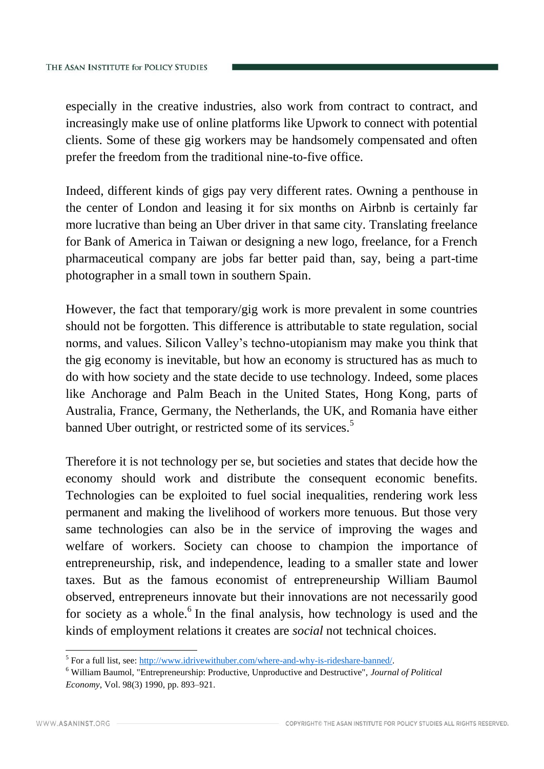especially in the creative industries, also work from contract to contract, and increasingly make use of online platforms like Upwork to connect with potential clients. Some of these gig workers may be handsomely compensated and often prefer the freedom from the traditional nine-to-five office.

Indeed, different kinds of gigs pay very different rates. Owning a penthouse in the center of London and leasing it for six months on Airbnb is certainly far more lucrative than being an Uber driver in that same city. Translating freelance for Bank of America in Taiwan or designing a new logo, freelance, for a French pharmaceutical company are jobs far better paid than, say, being a part-time photographer in a small town in southern Spain.

However, the fact that temporary/gig work is more prevalent in some countries should not be forgotten. This difference is attributable to state regulation, social norms, and values. Silicon Valley's techno-utopianism may make you think that the gig economy is inevitable, but how an economy is structured has as much to do with how society and the state decide to use technology. Indeed, some places like Anchorage and Palm Beach in the United States, Hong Kong, parts of Australia, France, Germany, the Netherlands, the UK, and Romania have either banned Uber outright, or restricted some of its services.<sup>5</sup>

Therefore it is not technology per se, but societies and states that decide how the economy should work and distribute the consequent economic benefits. Technologies can be exploited to fuel social inequalities, rendering work less permanent and making the livelihood of workers more tenuous. But those very same technologies can also be in the service of improving the wages and welfare of workers. Society can choose to champion the importance of entrepreneurship, risk, and independence, leading to a smaller state and lower taxes. But as the famous economist of entrepreneurship William Baumol observed, entrepreneurs innovate but their innovations are not necessarily good for society as a whole. $6$  In the final analysis, how technology is used and the kinds of employment relations it creates are *social* not technical choices.

<sup>&</sup>lt;sup>5</sup> For a full list, see[: http://www.idrivewithuber.com/where-and-why-is-rideshare-banned/.](http://www.idrivewithuber.com/where-and-why-is-rideshare-banned/)

<sup>6</sup> William Baumol, "Entrepreneurship: Productive, Unproductive and Destructive", *Journal of Political Economy*, Vol. 98(3) 1990, pp. 893–921.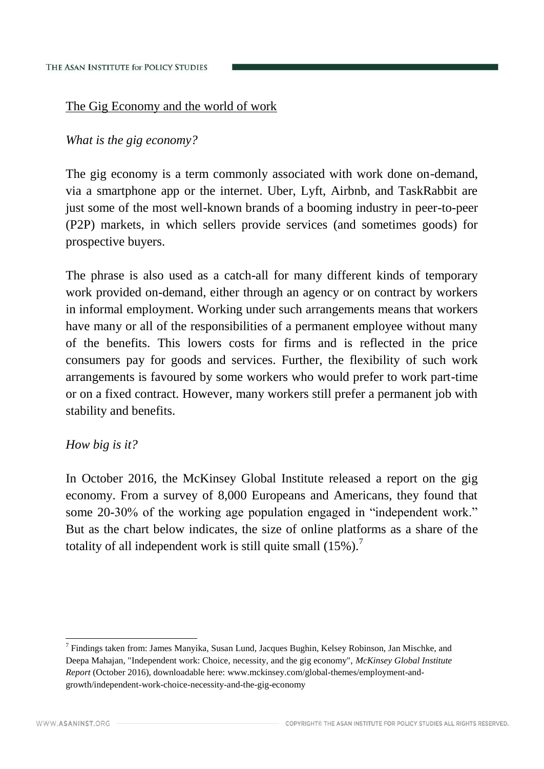# The Gig Economy and the world of work

*What is the gig economy?*

The gig economy is a term commonly associated with work done on-demand, via a smartphone app or the internet. Uber, Lyft, Airbnb, and TaskRabbit are just some of the most well-known brands of a booming industry in peer-to-peer (P2P) markets, in which sellers provide services (and sometimes goods) for prospective buyers.

The phrase is also used as a catch-all for many different kinds of temporary work provided on-demand, either through an agency or on contract by workers in informal employment. Working under such arrangements means that workers have many or all of the responsibilities of a permanent employee without many of the benefits. This lowers costs for firms and is reflected in the price consumers pay for goods and services. Further, the flexibility of such work arrangements is favoured by some workers who would prefer to work part-time or on a fixed contract. However, many workers still prefer a permanent job with stability and benefits.

### *How big is it?*

In October 2016, the McKinsey Global Institute released a report on the gig economy. From a survey of 8,000 Europeans and Americans, they found that some 20-30% of the working age population engaged in "independent work." But as the chart below indicates, the size of online platforms as a share of the totality of all independent work is still quite small  $(15\%)$ .

<sup>&</sup>lt;sup>7</sup> Findings taken from: James Manyika, Susan Lund, Jacques Bughin, Kelsey Robinson, Jan Mischke, and Deepa Mahajan, "Independent work: Choice, necessity, and the gig economy", *McKinsey Global Institute Report* (October 2016), downloadable here: www.mckinsey.com/global-themes/employment-andgrowth/independent-work-choice-necessity-and-the-gig-economy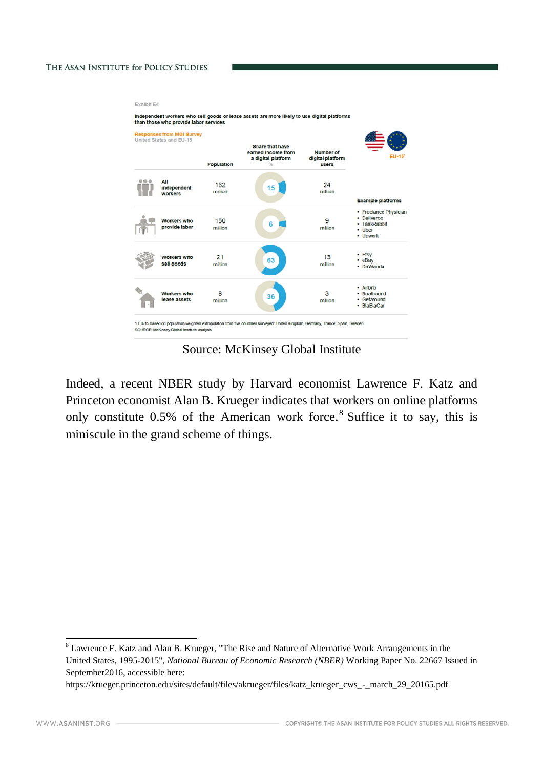#### THE ASAN INSTITUTE for POLICY STUDIES

| <b>Responses from MGI Survey</b><br>United States and EU-15 |                                     | <b>Share that have</b> |                                                           |                                        |                                                                                  |
|-------------------------------------------------------------|-------------------------------------|------------------------|-----------------------------------------------------------|----------------------------------------|----------------------------------------------------------------------------------|
|                                                             |                                     | <b>Population</b>      | earned income from<br>a digital platform<br>$\frac{1}{2}$ | Number of<br>digital platform<br>users | $EU-151$                                                                         |
|                                                             | All<br>independent<br>workers       | 162<br>million         | 15                                                        | 24<br>million                          | <b>Example platforms</b>                                                         |
|                                                             | <b>Workers</b> who<br>provide labor | 150<br>million         | 6                                                         | 9<br>million                           | • Freelance Physician<br>• Deliveroo<br>• TaskRabbit<br>$\cdot$ Uber<br>• Upwork |
|                                                             | Workers who<br>sell goods           | 21<br>million          | 63                                                        | 13<br>million                          | • Etsy<br>• eBay<br>• DaWanda                                                    |
|                                                             | Workers who<br>lease assets         | 8<br>million           | 36                                                        | 3<br>million                           | • Airbnb<br>• Boatbound<br>• Getaround<br>• BlaBlaCar                            |

Source: McKinsey Global Institute

Indeed, a recent NBER study by Harvard economist Lawrence F. Katz and Princeton economist Alan B. Krueger indicates that workers on online platforms only constitute  $0.5\%$  of the American work force.<sup>8</sup> Suffice it to say, this is miniscule in the grand scheme of things.

 $8$  Lawrence F. Katz and Alan B. Krueger, "The Rise and Nature of Alternative Work Arrangements in the United States, 1995-2015", *National Bureau of Economic Research (NBER)* Working Paper No. 22667 Issued in September2016, accessible here:

https://krueger.princeton.edu/sites/default/files/akrueger/files/katz\_krueger\_cws\_-\_march\_29\_20165.pdf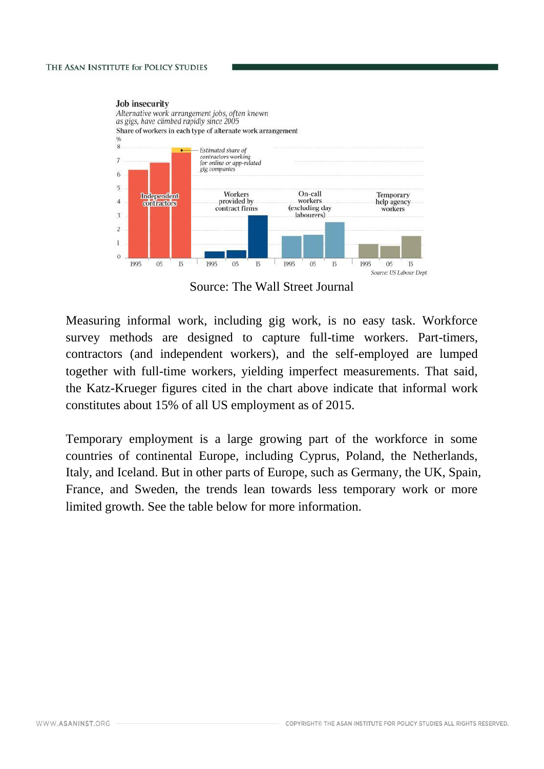

Source: The Wall Street Journal

Measuring informal work, including gig work, is no easy task. Workforce survey methods are designed to capture full-time workers. Part-timers, contractors (and independent workers), and the self-employed are lumped together with full-time workers, yielding imperfect measurements. That said, the Katz-Krueger figures cited in the chart above indicate that informal work constitutes about 15% of all US employment as of 2015.

Temporary employment is a large growing part of the workforce in some countries of continental Europe, including Cyprus, Poland, the Netherlands, Italy, and Iceland. But in other parts of Europe, such as Germany, the UK, Spain, France, and Sweden, the trends lean towards less temporary work or more limited growth. See the table below for more information.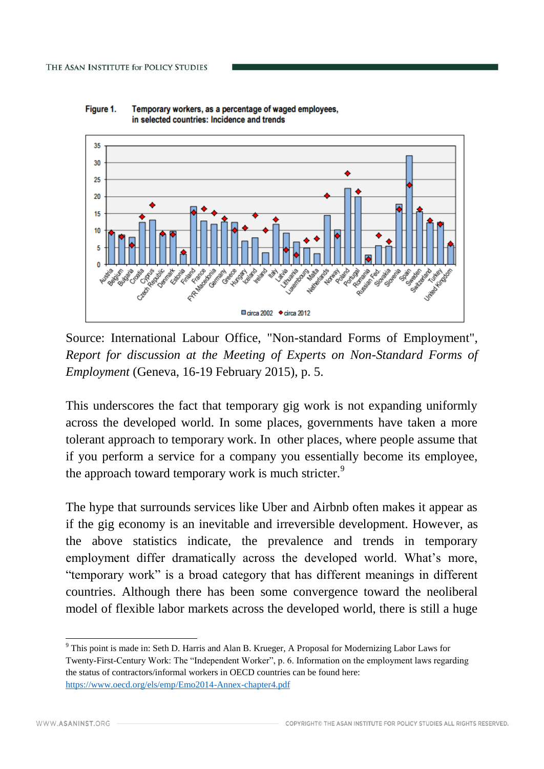

Figure 1. Temporary workers, as a percentage of waged employees, in selected countries: Incidence and trends

Source: International Labour Office, "Non-standard Forms of Employment", *Report for discussion at the Meeting of Experts on Non-Standard Forms of Employment* (Geneva, 16-19 February 2015), p. 5.

This underscores the fact that temporary gig work is not expanding uniformly across the developed world. In some places, governments have taken a more tolerant approach to temporary work. In other places, where people assume that if you perform a service for a company you essentially become its employee, the approach toward temporary work is much stricter.<sup>9</sup>

The hype that surrounds services like Uber and Airbnb often makes it appear as if the gig economy is an inevitable and irreversible development. However, as the above statistics indicate, the prevalence and trends in temporary employment differ dramatically across the developed world. What's more, "temporary work" is a broad category that has different meanings in different countries. Although there has been some convergence toward the neoliberal model of flexible labor markets across the developed world, there is still a huge

<sup>-</sup><sup>9</sup> This point is made in: Seth D. Harris and Alan B. Krueger, A Proposal for Modernizing Labor Laws for Twenty-First-Century Work: The "Independent Worker", p. 6. Information on the employment laws regarding the status of contractors/informal workers in OECD countries can be found here: <https://www.oecd.org/els/emp/Emo2014-Annex-chapter4.pdf>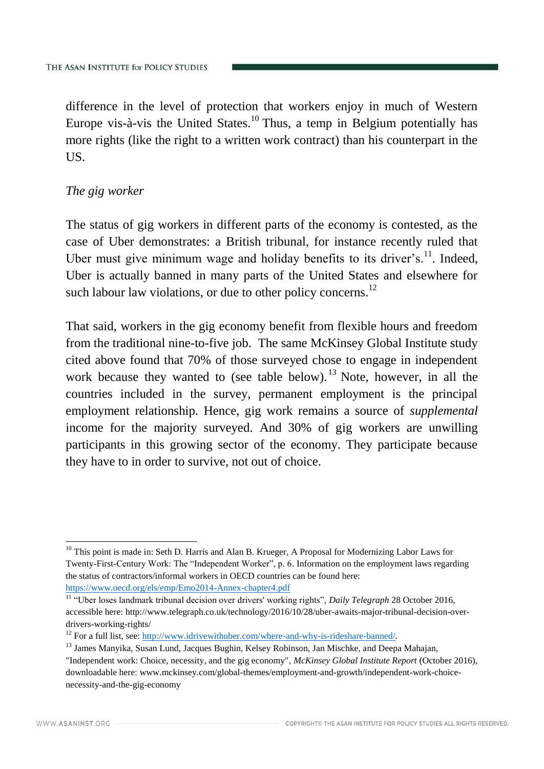difference in the level of protection that workers enjoy in much of Western Europe vis-à-vis the United States.<sup>10</sup> Thus, a temp in Belgium potentially has more rights (like the right to a written work contract) than his counterpart in the US.

# *The gig worker*

The status of gig workers in different parts of the economy is contested, as the case of Uber demonstrates: a British tribunal, for instance recently ruled that Uber must give minimum wage and holiday benefits to its driver's. $^{11}$ . Indeed, Uber is actually banned in many parts of the United States and elsewhere for such labour law violations, or due to other policy concerns.<sup>12</sup>

That said, workers in the gig economy benefit from flexible hours and freedom from the traditional nine-to-five job. The same McKinsey Global Institute study cited above found that 70% of those surveyed chose to engage in independent work because they wanted to (see table below). <sup>13</sup> Note, however, in all the countries included in the survey, permanent employment is the principal employment relationship. Hence, gig work remains a source of *supplemental* income for the majority surveyed. And 30% of gig workers are unwilling participants in this growing sector of the economy. They participate because they have to in order to survive, not out of choice.

<sup>-</sup> $10$  This point is made in: Seth D. Harris and Alan B. Krueger, A Proposal for Modernizing Labor Laws for Twenty-First-Century Work: The "Independent Worker", p. 6. Information on the employment laws regarding the status of contractors/informal workers in OECD countries can be found here: <https://www.oecd.org/els/emp/Emo2014-Annex-chapter4.pdf>

<sup>11</sup> "Uber loses landmark tribunal decision over drivers' working rights", *Daily Telegraph* 28 October 2016, accessible here: http://www.telegraph.co.uk/technology/2016/10/28/uber-awaits-major-tribunal-decision-overdrivers-working-rights/

<sup>&</sup>lt;sup>12</sup> For a full list, see: [http://www.idrivewithuber.com/where-and-why-is-rideshare-banned/.](http://www.idrivewithuber.com/where-and-why-is-rideshare-banned/)

<sup>&</sup>lt;sup>13</sup> James Manyika, Susan Lund, Jacques Bughin, Kelsey Robinson, Jan Mischke, and Deepa Mahajan,

<sup>&</sup>quot;Independent work: Choice, necessity, and the gig economy", *McKinsey Global Institute Report* (October 2016), downloadable here: www.mckinsey.com/global-themes/employment-and-growth/independent-work-choicenecessity-and-the-gig-economy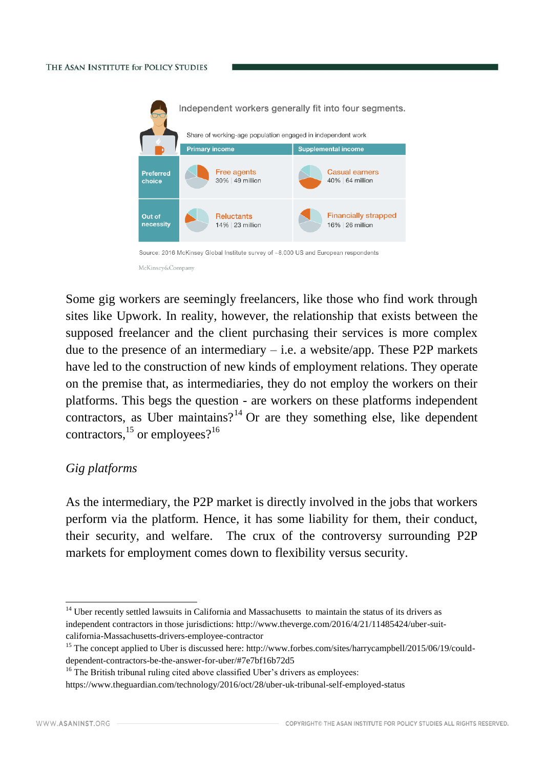#### THE ASAN INSTITUTE for POLICY STUDIES



Some gig workers are seemingly freelancers, like those who find work through sites like Upwork. In reality, however, the relationship that exists between the supposed freelancer and the client purchasing their services is more complex due to the presence of an intermediary  $-$  i.e. a website/app. These P2P markets have led to the construction of new kinds of employment relations. They operate on the premise that, as intermediaries, they do not employ the workers on their platforms. This begs the question - are workers on these platforms independent contractors, as Uber maintains?<sup>14</sup> Or are they something else, like dependent contractors,  $^{15}$  or employees?<sup>16</sup>

### *Gig platforms*

As the intermediary, the P2P market is directly involved in the jobs that workers perform via the platform. Hence, it has some liability for them, their conduct, their security, and welfare. The crux of the controversy surrounding P2P markets for employment comes down to flexibility versus security.

<sup>&</sup>lt;sup>14</sup> Uber recently settled lawsuits in California and Massachusetts to maintain the status of its drivers as independent contractors in those jurisdictions: http://www.theverge.com/2016/4/21/11485424/uber-suitcalifornia-Massachusetts-drivers-employee-contractor

<sup>&</sup>lt;sup>15</sup> The concept applied to Uber is discussed here: http://www.forbes.com/sites/harrycampbell/2015/06/19/coulddependent-contractors-be-the-answer-for-uber/#7e7bf16b72d5

<sup>&</sup>lt;sup>16</sup> The British tribunal ruling cited above classified Uber's drivers as employees:

https://www.theguardian.com/technology/2016/oct/28/uber-uk-tribunal-self-employed-status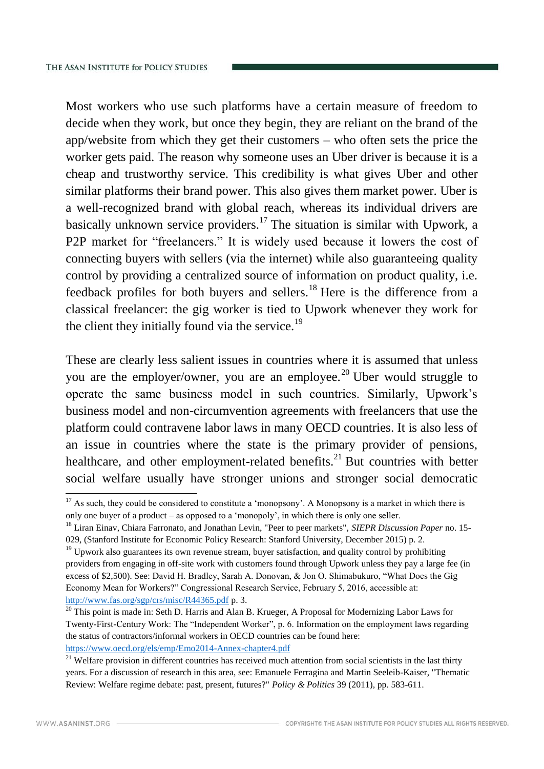Most workers who use such platforms have a certain measure of freedom to decide when they work, but once they begin, they are reliant on the brand of the app/website from which they get their customers – who often sets the price the worker gets paid. The reason why someone uses an Uber driver is because it is a cheap and trustworthy service. This credibility is what gives Uber and other similar platforms their brand power. This also gives them market power. Uber is a well-recognized brand with global reach, whereas its individual drivers are basically unknown service providers.<sup>17</sup> The situation is similar with Upwork, a P2P market for "freelancers." It is widely used because it lowers the cost of connecting buyers with sellers (via the internet) while also guaranteeing quality control by providing a centralized source of information on product quality, i.e. feedback profiles for both buyers and sellers.<sup>18</sup> Here is the difference from a classical freelancer: the gig worker is tied to Upwork whenever they work for the client they initially found via the service. $^{19}$ 

These are clearly less salient issues in countries where it is assumed that unless you are the employer/owner, you are an employee.<sup>20</sup> Uber would struggle to operate the same business model in such countries. Similarly, Upwork's business model and non-circumvention agreements with freelancers that use the platform could contravene labor laws in many OECD countries. It is also less of an issue in countries where the state is the primary provider of pensions, healthcare, and other employment-related benefits. $^{21}$  But countries with better social welfare usually have stronger unions and stronger social democratic

 $17$  As such, they could be considered to constitute a 'monopsony'. A Monopsony is a market in which there is only one buyer of a product – as opposed to a 'monopoly', in which there is only one seller.

<sup>18</sup> Liran Einav, Chiara Farronato, and Jonathan Levin, "Peer to peer markets", *SIEPR Discussion Paper* no. 15- 029, (Stanford Institute for Economic Policy Research: Stanford University, December 2015) p. 2.

 $19$  Upwork also guarantees its own revenue stream, buyer satisfaction, and quality control by prohibiting providers from engaging in off-site work with customers found through Upwork unless they pay a large fee (in excess of \$2,500). See: David H. Bradley, Sarah A. Donovan, & Jon O. Shimabukuro, "What Does the Gig Economy Mean for Workers?" Congressional Research Service, February 5, 2016, accessible at: <http://www.fas.org/sgp/crs/misc/R44365.pdf> p. 3.

<sup>&</sup>lt;sup>20</sup> This point is made in: Seth D. Harris and Alan B. Krueger, A Proposal for Modernizing Labor Laws for Twenty-First-Century Work: The "Independent Worker", p. 6. Information on the employment laws regarding the status of contractors/informal workers in OECD countries can be found here: <https://www.oecd.org/els/emp/Emo2014-Annex-chapter4.pdf>

 $21$  Welfare provision in different countries has received much attention from social scientists in the last thirty years. For a discussion of research in this area, see: Emanuele Ferragina and Martin Seeleib-Kaiser, "Thematic Review: Welfare regime debate: past, present, futures?" *Policy & Politics* 39 (2011), pp. 583-611.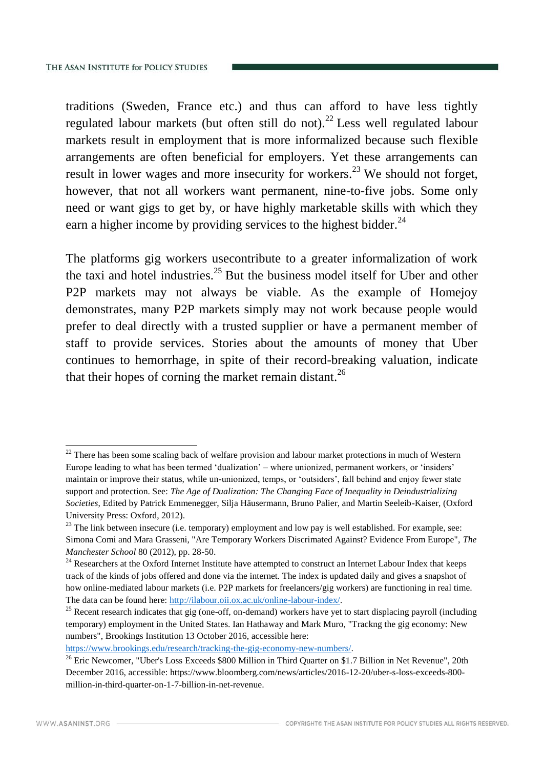traditions (Sweden, France etc.) and thus can afford to have less tightly regulated labour markets (but often still do not).<sup>22</sup> Less well regulated labour markets result in employment that is more informalized because such flexible arrangements are often beneficial for employers. Yet these arrangements can result in lower wages and more insecurity for workers.<sup>23</sup> We should not forget, however, that not all workers want permanent, nine-to-five jobs. Some only need or want gigs to get by, or have highly marketable skills with which they earn a higher income by providing services to the highest bidder.  $24$ 

The platforms gig workers usecontribute to a greater informalization of work the taxi and hotel industries.<sup>25</sup> But the business model itself for Uber and other P2P markets may not always be viable. As the example of Homejoy demonstrates, many P2P markets simply may not work because people would prefer to deal directly with a trusted supplier or have a permanent member of staff to provide services. Stories about the amounts of money that Uber continues to hemorrhage, in spite of their record-breaking valuation, indicate that their hopes of corning the market remain distant.<sup>26</sup>

[https://www.brookings.edu/research/tracking-the-gig-economy-new-numbers/.](https://www.brookings.edu/research/tracking-the-gig-economy-new-numbers/)

 $22$  There has been some scaling back of welfare provision and labour market protections in much of Western Europe leading to what has been termed 'dualization' – where unionized, permanent workers, or 'insiders' maintain or improve their status, while un-unionized, temps, or 'outsiders', fall behind and enjoy fewer state support and protection. See: *The Age of Dualization: The Changing Face of Inequality in Deindustrializing Societies*, Edited by Patrick Emmenegger, Silja Häusermann, Bruno Palier, and Martin Seeleib-Kaiser, (Oxford University Press: Oxford, 2012).

<sup>&</sup>lt;sup>23</sup> The link between insecure (i.e. temporary) employment and low pay is well established. For example, see: Simona Comi and Mara Grasseni, "Are Temporary Workers Discrimated Against? Evidence From Europe", *The Manchester School* 80 (2012), pp. 28-50.

<sup>&</sup>lt;sup>24</sup> Researchers at the Oxford Internet Institute have attempted to construct an Internet Labour Index that keeps track of the kinds of jobs offered and done via the internet. The index is updated daily and gives a snapshot of how online-mediated labour markets (i.e. P2P markets for freelancers/gig workers) are functioning in real time. The data can be found here: [http://ilabour.oii.ox.ac.uk/online-labour-index/.](http://ilabour.oii.ox.ac.uk/online-labour-index/)

<sup>&</sup>lt;sup>25</sup> Recent research indicates that gig (one-off, on-demand) workers have yet to start displacing payroll (including temporary) employment in the United States. Ian Hathaway and Mark Muro, "Trackng the gig economy: New numbers", Brookings Institution 13 October 2016, accessible here:

<sup>&</sup>lt;sup>26</sup> Eric Newcomer, "Uber's Loss Exceeds \$800 Million in Third Quarter on \$1.7 Billion in Net Revenue", 20th December 2016, accessible: https://www.bloomberg.com/news/articles/2016-12-20/uber-s-loss-exceeds-800 million-in-third-quarter-on-1-7-billion-in-net-revenue.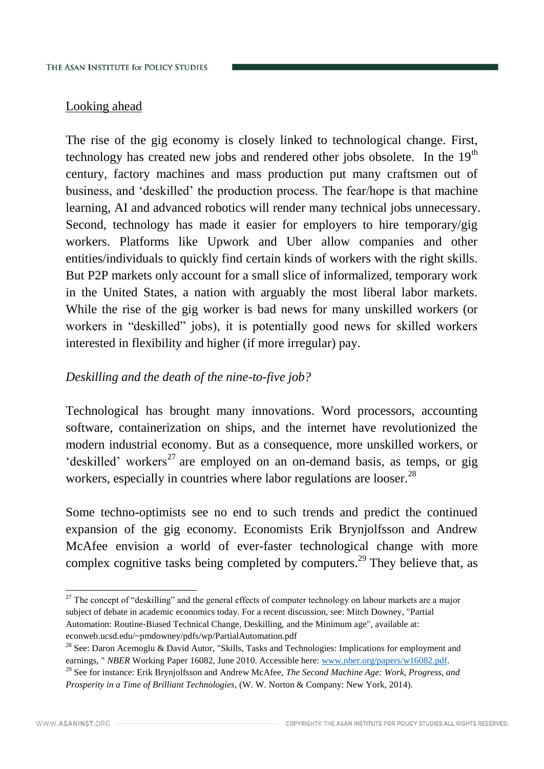# Looking ahead

The rise of the gig economy is closely linked to technological change. First, technology has created new jobs and rendered other jobs obsolete. In the  $19<sup>th</sup>$ century, factory machines and mass production put many craftsmen out of business, and 'deskilled' the production process. The fear/hope is that machine learning, AI and advanced robotics will render many technical jobs unnecessary. Second, technology has made it easier for employers to hire temporary/gig workers. Platforms like Upwork and Uber allow companies and other entities/individuals to quickly find certain kinds of workers with the right skills. But P2P markets only account for a small slice of informalized, temporary work in the United States, a nation with arguably the most liberal labor markets. While the rise of the gig worker is bad news for many unskilled workers (or workers in "deskilled" jobs), it is potentially good news for skilled workers interested in flexibility and higher (if more irregular) pay.

# *Deskilling and the death of the nine-to-five job?*

Technological has brought many innovations. Word processors, accounting software, containerization on ships, and the internet have revolutionized the modern industrial economy. But as a consequence, more unskilled workers, or 'deskilled' workers<sup>27</sup> are employed on an on-demand basis, as temps, or gig workers, especially in countries where labor regulations are looser.<sup>28</sup>

Some techno-optimists see no end to such trends and predict the continued expansion of the gig economy. Economists Erik Brynjolfsson and Andrew McAfee envision a world of ever-faster technological change with more complex cognitive tasks being completed by computers.<sup>29</sup> They believe that, as

<sup>-</sup> $27$  The concept of "deskilling" and the general effects of computer technology on labour markets are a major subject of debate in academic economics today. For a recent discussion, see: Mitch Downey, "Partial Automation: Routine-Biased Technical Change, Deskilling, and the Minimum age", available at: econweb.ucsd.edu/~pmdowney/pdfs/wp/PartialAutomation.pdf

<sup>&</sup>lt;sup>28</sup> See: Daron Acemoglu & David Autor, "Skills, Tasks and Technologies: Implications for employment and earnings, "*NBER* Working Paper 16082, June 2010. Accessible here: [www.nber.org/papers/w16082.pdf.](http://www.nber.org/papers/w16082.pdf)

<sup>29</sup> See for instance: Erik Brynjolfsson and Andrew McAfee, *The Second Machine Age: Work, Progress, and Prosperity in a Time of Brilliant Technologies*, (W. W. Norton & Company: New York, 2014).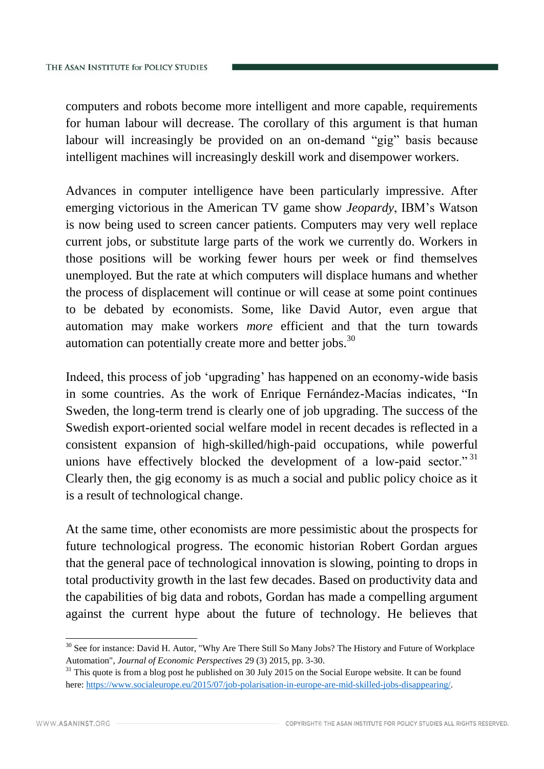computers and robots become more intelligent and more capable, requirements for human labour will decrease. The corollary of this argument is that human labour will increasingly be provided on an on-demand "gig" basis because intelligent machines will increasingly deskill work and disempower workers.

Advances in computer intelligence have been particularly impressive. After emerging victorious in the American TV game show *Jeopardy*, IBM's Watson is now being used to screen cancer patients. Computers may very well replace current jobs, or substitute large parts of the work we currently do. Workers in those positions will be working fewer hours per week or find themselves unemployed. But the rate at which computers will displace humans and whether the process of displacement will continue or will cease at some point continues to be debated by economists. Some, like David Autor, even argue that automation may make workers *more* efficient and that the turn towards automation can potentially create more and better jobs.<sup>30</sup>

Indeed, this process of job 'upgrading' has happened on an economy-wide basis in some countries. As the work of Enrique Fernández-Macías indicates, "In Sweden, the long-term trend is clearly one of job upgrading. The success of the Swedish export-oriented social welfare model in recent decades is reflected in a consistent expansion of high-skilled/high-paid occupations, while powerful unions have effectively blocked the development of a low-paid sector."<sup>31</sup> Clearly then, the gig economy is as much a social and public policy choice as it is a result of technological change.

At the same time, other economists are more pessimistic about the prospects for future technological progress. The economic historian Robert Gordan argues that the general pace of technological innovation is slowing, pointing to drops in total productivity growth in the last few decades. Based on productivity data and the capabilities of big data and robots, Gordan has made a compelling argument against the current hype about the future of technology. He believes that

<sup>&</sup>lt;sup>30</sup> See for instance: David H. Autor, "Why Are There Still So Many Jobs? The History and Future of Workplace Automation", *Journal of Economic Perspectives* 29 (3) 2015, pp. 3-30.

 $31$  This quote is from a blog post he published on 30 July 2015 on the Social Europe website. It can be found here: [https://www.socialeurope.eu/2015/07/job-polarisation-in-europe-are-mid-skilled-jobs-disappearing/.](https://www.socialeurope.eu/2015/07/job-polarisation-in-europe-are-mid-skilled-jobs-disappearing/)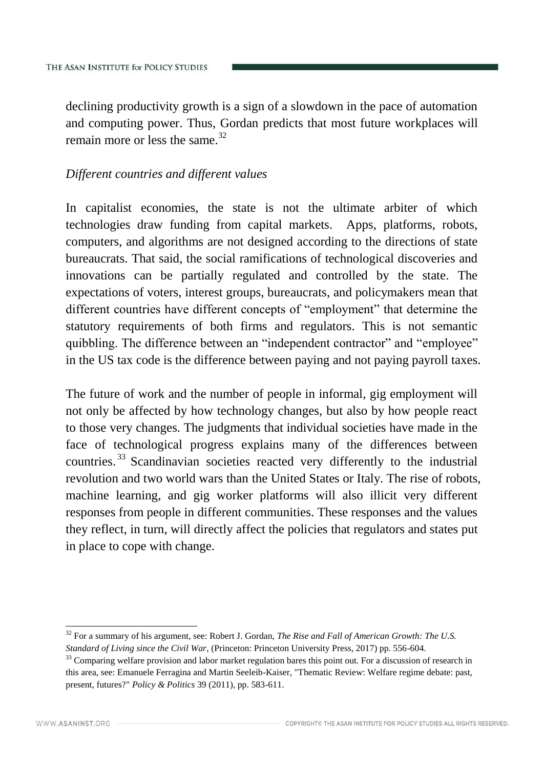declining productivity growth is a sign of a slowdown in the pace of automation and computing power. Thus, Gordan predicts that most future workplaces will remain more or less the same. $32$ 

# *Different countries and different values*

In capitalist economies, the state is not the ultimate arbiter of which technologies draw funding from capital markets. Apps, platforms, robots, computers, and algorithms are not designed according to the directions of state bureaucrats. That said, the social ramifications of technological discoveries and innovations can be partially regulated and controlled by the state. The expectations of voters, interest groups, bureaucrats, and policymakers mean that different countries have different concepts of "employment" that determine the statutory requirements of both firms and regulators. This is not semantic quibbling. The difference between an "independent contractor" and "employee" in the US tax code is the difference between paying and not paying payroll taxes.

The future of work and the number of people in informal, gig employment will not only be affected by how technology changes, but also by how people react to those very changes. The judgments that individual societies have made in the face of technological progress explains many of the differences between countries. <sup>33</sup> Scandinavian societies reacted very differently to the industrial revolution and two world wars than the United States or Italy. The rise of robots, machine learning, and gig worker platforms will also illicit very different responses from people in different communities. These responses and the values they reflect, in turn, will directly affect the policies that regulators and states put in place to cope with change.

<sup>32</sup> For a summary of his argument, see: Robert J. Gordan, *The Rise and Fall of American Growth: The U.S. Standard of Living since the Civil War*, (Princeton: Princeton University Press, 2017) pp. 556-604.

<sup>&</sup>lt;sup>33</sup> Comparing welfare provision and labor market regulation bares this point out. For a discussion of research in this area, see: Emanuele Ferragina and Martin Seeleib-Kaiser, "Thematic Review: Welfare regime debate: past, present, futures?" *Policy & Politics* 39 (2011), pp. 583-611.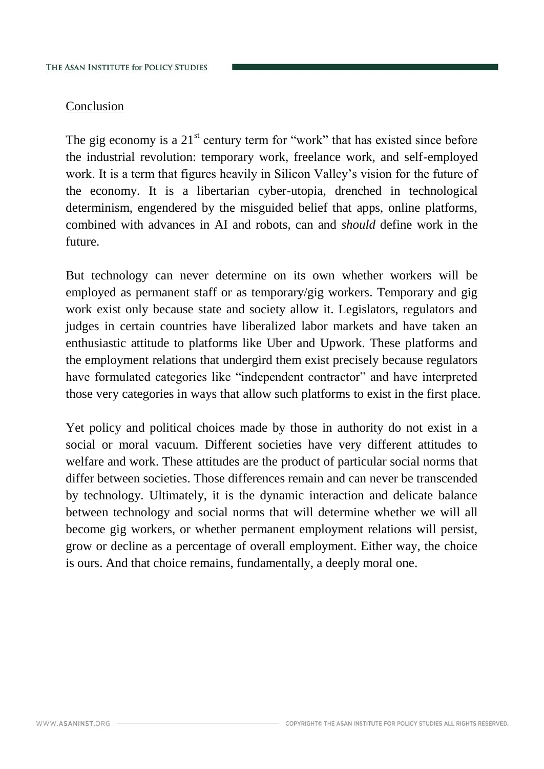# Conclusion

The gig economy is a  $21<sup>st</sup>$  century term for "work" that has existed since before the industrial revolution: temporary work, freelance work, and self-employed work. It is a term that figures heavily in Silicon Valley's vision for the future of the economy. It is a libertarian cyber-utopia, drenched in technological determinism, engendered by the misguided belief that apps, online platforms, combined with advances in AI and robots, can and *should* define work in the future.

But technology can never determine on its own whether workers will be employed as permanent staff or as temporary/gig workers. Temporary and gig work exist only because state and society allow it. Legislators, regulators and judges in certain countries have liberalized labor markets and have taken an enthusiastic attitude to platforms like Uber and Upwork. These platforms and the employment relations that undergird them exist precisely because regulators have formulated categories like "independent contractor" and have interpreted those very categories in ways that allow such platforms to exist in the first place.

Yet policy and political choices made by those in authority do not exist in a social or moral vacuum. Different societies have very different attitudes to welfare and work. These attitudes are the product of particular social norms that differ between societies. Those differences remain and can never be transcended by technology. Ultimately, it is the dynamic interaction and delicate balance between technology and social norms that will determine whether we will all become gig workers, or whether permanent employment relations will persist, grow or decline as a percentage of overall employment. Either way, the choice is ours. And that choice remains, fundamentally, a deeply moral one.